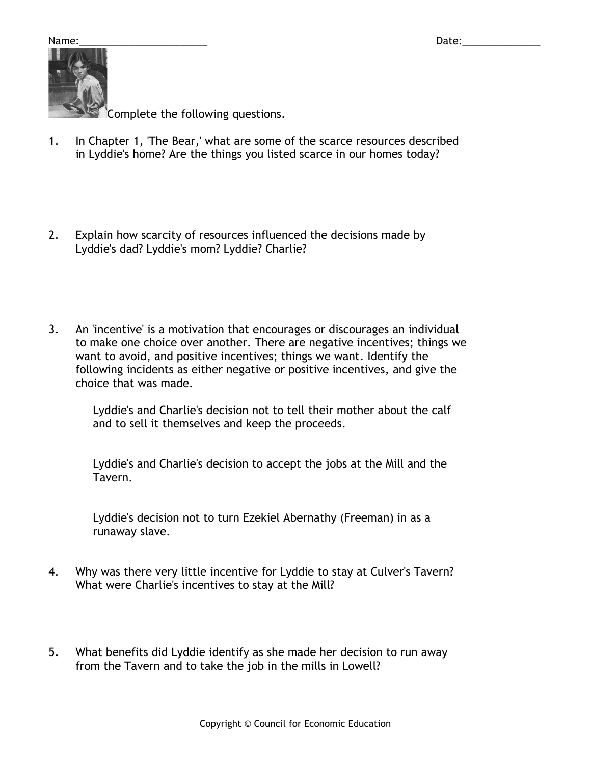Name:\_\_\_\_\_\_\_\_\_\_\_\_\_\_\_\_\_\_\_\_\_\_\_ Date:\_\_\_\_\_\_\_\_\_\_\_\_\_\_



omplete the following questions.

- 1. In Chapter 1, 'The Bear,' what are some of the scarce resources described in Lyddie's home? Are the things you listed scarce in our homes today?
- 2. Explain how scarcity of resources influenced the decisions made by Lyddie's dad? Lyddie's mom? Lyddie? Charlie?
- 3. An 'incentive' is a motivation that encourages or discourages an individual to make one choice over another. There are negative incentives; things we want to avoid, and positive incentives; things we want. Identify the following incidents as either negative or positive incentives, and give the choice that was made.

Lyddie's and Charlie's decision not to tell their mother about the calf and to sell it themselves and keep the proceeds.

Lyddie's and Charlie's decision to accept the jobs at the Mill and the Tavern.

Lyddie's decision not to turn Ezekiel Abernathy (Freeman) in as a runaway slave.

- 4. Why was there very little incentive for Lyddie to stay at Culver's Tavern? What were Charlie's incentives to stay at the Mill?
- 5. What benefits did Lyddie identify as she made her decision to run away from the Tavern and to take the job in the mills in Lowell?